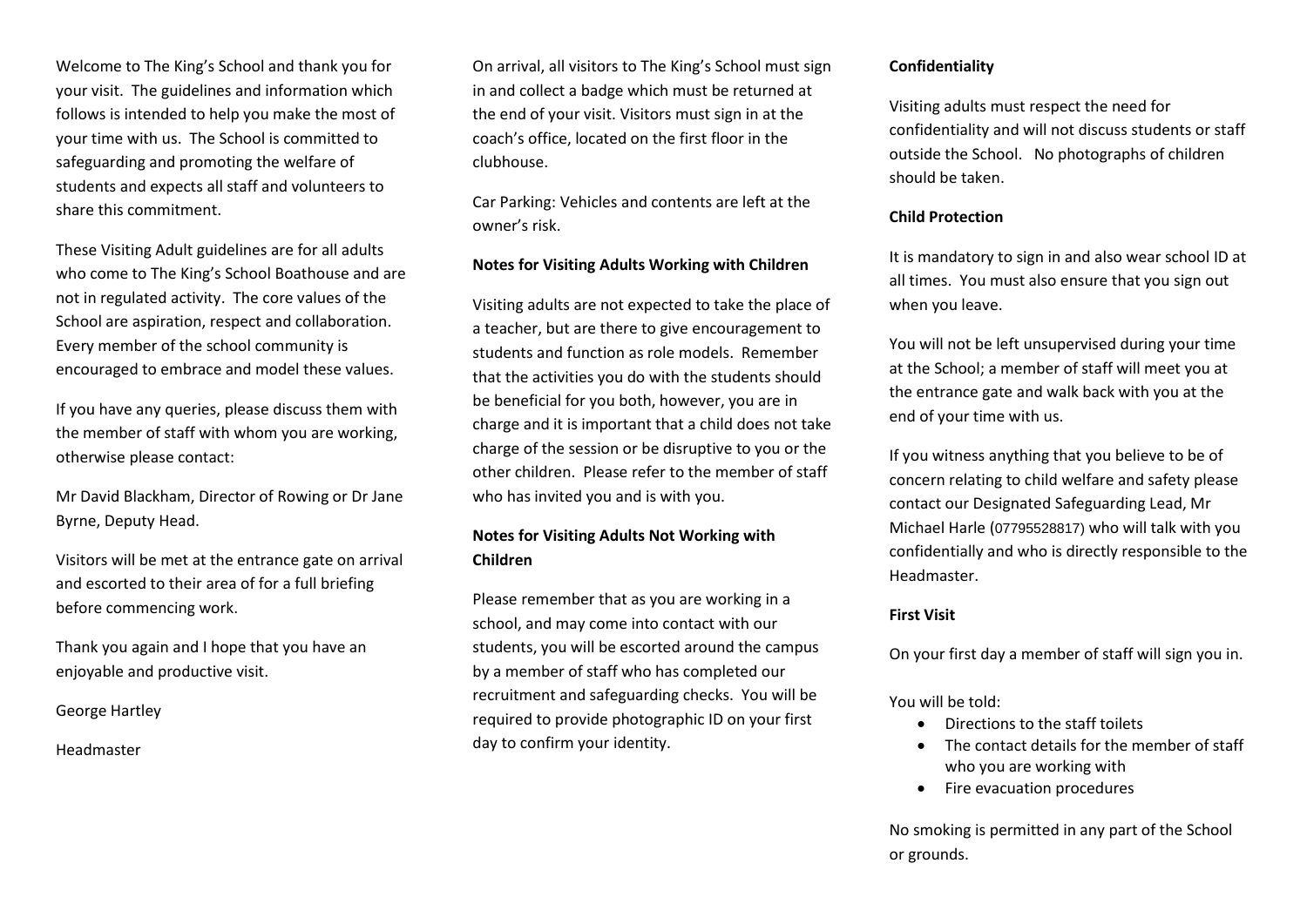Welcome to The King's School and thank you for your visit. The guidelines and information which follows is intended to help you make the most of your time with us. The School is committed to safeguarding and promoting the welfare of students and expects all staff and volunteers to share this commitment.

These Visiting Adult guidelines are for all adults who come to The King's School Boathouse and are not in regulated activity. The core values of the School are aspiration, respect and collaboration. Every member of the school community is encouraged to embrace and model these values.

If you have any queries, please discuss them with the member of staff with whom you are working, otherwise please contact:

Mr David Blackham, Director of Rowing or Dr Jane Byrne, Deputy Head.

Visitors will be met at the entrance gate on arrival and escorted to their area of for a full briefing before commencing work.

Thank you again and I hope that you have an enjoyable and productive visit.

George Hartley

Headmaster

On arrival, all visitors to The King's School must sign in and collect a badge which must be returned at the end of your visit. Visitors must sign in at the coach's office, located on the first floor in the clubhouse.

Car Parking: Vehicles and contents are left at the owner's risk.

#### **Notes for Visiting Adults Working with Children**

Visiting adults are not expected to take the place of a teacher, but are there to give encouragement to students and function as role models. Remember that the activities you do with the students should be beneficial for you both, however, you are in charge and it is important that a child does not take charge of the session or be disruptive to you or the other children. Please refer to the member of staff who has invited you and is with you.

### **Notes for Visiting Adults Not Working with Children**

Please remember that as you are working in a school, and may come into contact with our students, you will be escorted around the campus by a member of staff who has completed our recruitment and safeguarding checks. You will be required to provide photographic ID on your first day to confirm your identity.

#### **Confidentiality**

Visiting adults must respect the need for confidentiality and will not discuss students or staff outside the School. No photographs of children should be taken.

#### **Child Protection**

It is mandatory to sign in and also wear school ID at all times. You must also ensure that you sign out when you leave.

You will not be left unsupervised during your time at the School; a member of staff will meet you at the entrance gate and walk back with you at the end of your time with us.

If you witness anything that you believe to be of concern relating to child welfare and safety please contact our Designated Safeguarding Lead, Mr Michael Harle (07795528817) who will talk with you confidentially and who is directly responsible to the Headmaster.

#### **First Visit**

On your first day a member of staff will sign you in.

You will be told:

- Directions to the staff toilets
- The contact details for the member of staff who you are working with
- Fire evacuation procedures

No smoking is permitted in any part of the School or grounds.